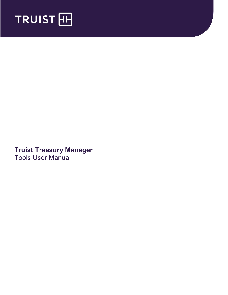

**Truist Treasury Manager** Tools User Manual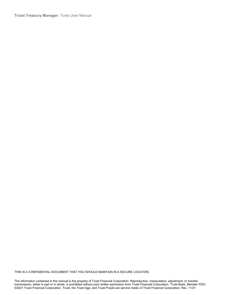**Truist Treasury Manager:** Tools User Manual

THIS IS A CONFIDENTIAL DOCUMENT THAT YOU SHOULD MAINTAIN IN A SECURE LOCATION.

The information contained in this manual is the property of Truist Financial Corporation. Reproduction, manipulation, adjustment, or transfer transmission, either in part or in whole, is prohibited without prior written permission from Truist Financial Corporation. Truist Bank, Member FDIC. ©2021 Truist Financial Corporation. Truist, the Truist logo, and Truist Purple are service marks of Truist Financial Corporation. Rev. 11/21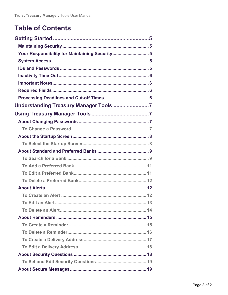# **Table of Contents**

| Your Responsibility for Maintaining Security 5 |  |
|------------------------------------------------|--|
|                                                |  |
|                                                |  |
|                                                |  |
|                                                |  |
|                                                |  |
|                                                |  |
| Understanding Treasury Manager Tools 7         |  |
|                                                |  |
|                                                |  |
|                                                |  |
|                                                |  |
|                                                |  |
|                                                |  |
|                                                |  |
|                                                |  |
|                                                |  |
|                                                |  |
|                                                |  |
|                                                |  |
|                                                |  |
|                                                |  |
|                                                |  |
|                                                |  |
|                                                |  |
|                                                |  |
|                                                |  |
|                                                |  |
|                                                |  |
|                                                |  |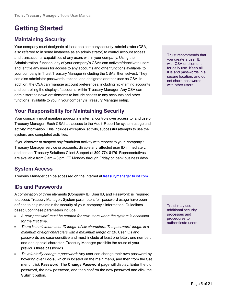# <span id="page-4-0"></span>**Getting Started**

## <span id="page-4-1"></span>**Maintaining Security**

Your company must designate at least one company security administrator (CSA, also referred to in some instances as an administrator) to control account access and transactional capabilities of any users within your company. Using the Administration function, any of your company's CSAs can activate/deactivate users and entitle any users for access to any accounts and other functions available to your company in Truist Treasury Manager (including the CSAs themselves). They can also administer passwords, tokens, and designate another user as CSA. In addition, the CSA can manage account preferences, including nicknaming accounts and controlling the display of accounts within Treasury Manager. Any CSA can administer their own entitlements to include access to any accounts and other functions available to you in your company's Treasury Manager setup.

## <span id="page-4-2"></span>**Your Responsibility for Maintaining Security**

Your company must maintain appropriate internal controls over access to and use of Treasury Manager. Each CSA has access to the Audit Report for system usage and activity information. This includes exception activity, successful attempts to use the system, and completed activities.

If you discover or suspect any fraudulent activity with respect to your company's Treasury Manager service or accounts, disable any affected user ID immediately, and contact Treasury Solutions Client Support at **800-774-8179**. Representatives are available from 8 am – 8 pm ET Monday through Friday on bank business days.

### <span id="page-4-3"></span>**System Access**

Treasury Manager can be accessed on the Internet at [treasurymanager.truist.com.](http://www.suntrust.com/sunviewtreasurymanager%20treasurymanager.truist.com)

### <span id="page-4-4"></span>**IDs and Passwords**

A combination of three elements (Company ID, User ID, and Password) is required to access Treasury Manager. System parameters for password usage have been defined to help maintain the security of your company's information. Guidelines based upon these parameters include:

- *A new password must be created for new users when the system is accessed for the first time*.
- *There is a minimum user ID length of six characters. The password length is a minimum of eight characters with a maximum length of 20*. User IDs and passwords are case-sensitive and must include at least one letter, one number, and one special character. Treasury Manager prohibits the reuse of your previous three passwords.
- *To voluntarily change a password:* Any user can change their own password by hovering over **Tools,** which is located on the main menu, and then from the **Set** menu, click **Password**. The **Change Password** page will display. Enter the old password, the new password, and then confirm the new password and click the **Submit** button.

Truist recommends that you create a user ID with CSA entitlement for daily use. Keep all IDs and passwords in a secure location, and do not share passwords with other users.

Truist may use additional security processes and procedures to authenticate users.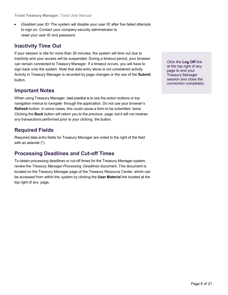• *Disabled user ID*: The system will disable your user ID after five failed attempts to sign on. Contact your company security administrator to reset your user ID and password.

## <span id="page-5-0"></span>**Inactivity Time Out**

If your session is idle for more than 30 minutes, the system will time out due to inactivity and your access will be suspended. During a timeout period, your browser can remain connected to Treasury Manager. If a timeout occurs, you will have to sign back onto the system. Note that data entry alone is not considered activity. Activity in Treasury Manager is recorded by page changes or the use of the **Submit**  button.

### <span id="page-5-1"></span>**Important Notes**

When using Treasury Manager, best practice is to use the action buttons or top navigation menus to navigate through the application. Do not use your browser's **Refresh** button. In some cases, this could cause a form to be submitted twice. Clicking the **Back** button will return you to the previous page, but it will not reverse any transactions performed prior to your clicking the button.

## <span id="page-5-2"></span>**Required Fields**

Required data entry fields for Treasury Manager are noted to the right of the field with an asterisk (\*).

### <span id="page-5-3"></span>**Processing Deadlines and Cut-off Times**

To obtain processing deadlines or cut-off times for the Treasury Manager system, review the *Treasury Manager Processing Deadlines* document. This document is located on the Treasury Manager page of the Treasury Resource Center, which can be accessed from within the system by clicking the **User Material** link located at the top right of any page.

Click the **Log Off** link at the top right of any page to end your Treasury Manager session and close the connection completely.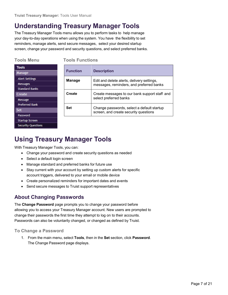# <span id="page-6-0"></span>**Understanding Treasury Manager Tools**

The Treasury Manager Tools menu allows you to perform tasks to help manage your day-to-day operations when using the system. You have the flexibility to set reminders, manage alerts, send secure messages, select your desired startup screen, change your password and security questions, and select preferred banks.

**Tools Menu Tools Functions**

| <b>Tools</b>              |
|---------------------------|
| Manage                    |
| <b>Alert Settings</b>     |
| <b>Messages</b>           |
| <b>Standard Banks</b>     |
| Create                    |
| Message                   |
| <b>Preferred Bank</b>     |
| Set                       |
| Password                  |
| <b>Startup Screen</b>     |
| <b>Security Questions</b> |
|                           |

| <b>Function</b> | <b>Description</b>                                                                     |
|-----------------|----------------------------------------------------------------------------------------|
| <b>Manage</b>   | Edit and delete alerts, delivery settings,<br>messages, reminders, and preferred banks |
| Create          | Create messages to our bank support staff and<br>select preferred banks                |
| <b>Set</b>      | Change passwords, select a default startup<br>screen, and create security questions    |

# <span id="page-6-1"></span>**Using Treasury Manager Tools**

With Treasury Manager Tools, you can:

- Change your password and create security questions as needed
- Select a default login screen
- Manage standard and preferred banks for future use
- Stay current with your account by setting up custom alerts for specific account triggers, delivered to your email or mobile device
- Create personalized reminders for important dates and events
- Send secure messages to Truist support representatives

### <span id="page-6-2"></span>**About Changing Passwords**

The **Change Password** page prompts you to change your password before allowing you to access your Treasury Manager account. New users are prompted to change their passwords the first time they attempt to log on to their accounts. Passwords can also be voluntarily changed, or changed as defined by Truist.

#### <span id="page-6-3"></span>**To Change a Password**

1. From the main menu, select **Tools**, then in the **Set** section, click **Password**. The Change Password page displays.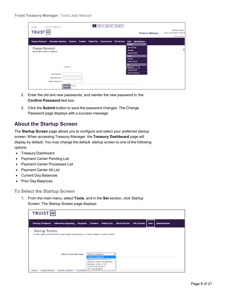| 11/24/2021 15:57 (Eastern Time)<br>- Last Login:                 |                  |                  |                     | Alerts 33 Approvals 1 Messages 0    |                                                                                                                                                             |                                                   |
|------------------------------------------------------------------|------------------|------------------|---------------------|-------------------------------------|-------------------------------------------------------------------------------------------------------------------------------------------------------------|---------------------------------------------------|
| TRUIST <sub>H</sub>                                              |                  |                  |                     |                                     | <b>Treasury Manager</b>                                                                                                                                     | Welcome, James<br>Inbox   User Material   Log Off |
|                                                                  |                  |                  |                     |                                     |                                                                                                                                                             | Timeout: 0:22:49                                  |
| <b>Treasury Dashboard</b><br><b>Information Reporting</b>        | <b>Payments</b>  | <b>Transfers</b> | <b>Positive Pay</b> | <b>Check Services File Services</b> | Administration<br><b>Tools</b><br>Manage                                                                                                                    |                                                   |
| <b>Change Password</b><br>Use this page to change your password. | * Required       |                  |                     |                                     | <b>Alert Settings</b><br><b>Messages</b><br><b>Standard Banks</b><br>Create<br>Message<br><b>Preferred Bank</b><br>Set<br>Password<br><b>Startup Screen</b> | C                                                 |
| Old Password *                                                   |                  |                  |                     |                                     | <b>Security Questions</b>                                                                                                                                   |                                                   |
| New Password *<br>Confirm Password *                             |                  |                  |                     |                                     |                                                                                                                                                             |                                                   |
|                                                                  | Cancel<br>Submit |                  |                     |                                     |                                                                                                                                                             |                                                   |

- 2. Enter the old and new passwords, and reenter the new password in the **Confirm Password** text box.
- 3. Click the **Submit** button to save the password changes. The Change Password page displays with a success message.

### <span id="page-7-0"></span>**About the Startup Screen**

The **Startup Screen** page allows you to configure and select your preferred startup screen. When accessing Treasury Manager, the **Treasury Dashboard** page will display by default. You may change the default startup screen to one of the following options:

- Treasury Dashboard
- Payment Center Pending List
- Payment Center Processed List
- Payment Center All List
- Current Day Balances
- Prior Day Balances

<span id="page-7-1"></span>**To Select the Startup Screen**

1. From the main menu, select **Tools**, and in the **Set** section, click Startup Screen. The Startup Screen page displays.

| <b>TRUIST HH</b>                       |                                                                                                                                              |                      |                                                                                                           |                                                              |                       |                      |              |                       |
|----------------------------------------|----------------------------------------------------------------------------------------------------------------------------------------------|----------------------|-----------------------------------------------------------------------------------------------------------|--------------------------------------------------------------|-----------------------|----------------------|--------------|-----------------------|
| <b>Treasury Dashboard</b>              | <b>Information Reporting</b>                                                                                                                 | <b>Payments</b>      | Transfers                                                                                                 | <b>Positive Pay</b>                                          | <b>Check Services</b> | <b>File Services</b> | <b>Tools</b> | <b>Administration</b> |
| <b>Startup Screen</b>                  | Use this page to define the default page to display upon logging in and upon completion of various activities.<br>Default Screen after Login |                      | Treasury Dashboard                                                                                        |                                                              |                       |                      |              |                       |
| <b>Fraud &amp; Security</b><br>Privacy | <b>Terms &amp; Conditions</b>                                                                                                                | <b>Accessibility</b> | <b>Treasury Dashboard</b><br>Payment Center All List<br><b>Current Day Balances</b><br>Prior Day Balances | Payment Center Pending List<br>Payment Center Processed List |                       |                      |              |                       |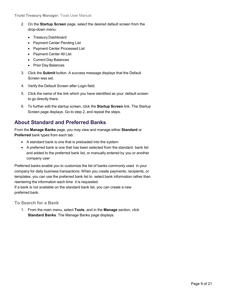- 2. On the **Startup Screen** page, select the desired default screen from the drop-down menu:
	- Treasury Dashboard
	- Payment Center Pending List
	- Payment Center Processed List
	- Payment Center All List
	- Current Day Balances
	- Prior Day Balances
- 3. Click the **Submit** button. A success message displays that the Default Screen was set.
- 4. Verify the Default Screen after Login field.
- 5. Click the name of the link which you have identified as your default screen to go directly there.
- 6. To further edit the startup screen, click the **Startup Screen** link. The Startup Screen page displays. Go to step 2, and repeat the steps.

### <span id="page-8-0"></span>**About Standard and Preferred Banks**

From the **Manage Banks** page, you may view and manage either **Standard** or **Preferred** bank types from each tab:

- A standard bank is one that is preloaded into the system
- A preferred bank is one that has been selected from the standard bank list and added to the preferred bank list, or manually entered by you or another company user

Preferred banks enable you to customize the list of banks commonly used in your company for daily business transactions. When you create payments, recipients, or templates, you can use the preferred bank list to select bank information rather than reentering the information each time it is requested.

If a bank is not available on the standard bank list, you can create a new preferred bank.

<span id="page-8-1"></span>**To Search for a Bank**

1. From the main menu, select **Tools**, and in the **Manage** section, click **Standard Banks**. The Manage Banks page displays.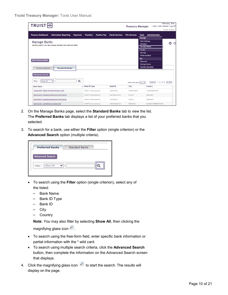| TRUIST <sub>FH</sub>                                                                  |                       |                     |                       | <b>Treasury Manager</b>    |                                                                                                                 | Welcome, John<br>Inbox   User Material   Log Off |
|---------------------------------------------------------------------------------------|-----------------------|---------------------|-----------------------|----------------------------|-----------------------------------------------------------------------------------------------------------------|--------------------------------------------------|
|                                                                                       |                       |                     |                       |                            |                                                                                                                 | Timeout: 0:28:32                                 |
| <b>Treasury Dashboard</b><br><b>Information Reporting</b><br><b>Payments</b>          | <b>Transfers</b>      | <b>Positive Pay</b> | <b>Check Services</b> | <b>File Services</b>       | <b>Administration</b><br><b>Tools</b><br>Manage                                                                 |                                                  |
| <b>Manage Banks</b><br>Use this page to view and manage standard and preferred banks. |                       |                     |                       |                            | <b>Alert Settings</b><br><b>Messages</b><br><b>Standard Banks</b><br>Create<br>Message<br><b>Preferred Bank</b> | A<br>$\odot$                                     |
| <b>Add Preferred Bank</b><br><b>Preferred Banks</b><br><b>Standard Banks</b>          |                       |                     |                       |                            | Set<br>Password<br><b>Startup Screen</b><br><b>Security Questions</b>                                           |                                                  |
| <b>Advanced Search</b>                                                                |                       |                     |                       |                            |                                                                                                                 |                                                  |
| Q<br>Show All<br>$\checkmark$<br>Filter                                               |                       |                     |                       | Items per page $10 \times$ | $\sqrt{\left  \left  \left  \left  \right  \right  \right }$ 1 2 3 4 5 $\sqrt{\left  \right }$                  |                                                  |
| <b>Bank Name</b>                                                                      | Bank ID Type          |                     | <b>Bank ID</b>        | City                       | Country                                                                                                         |                                                  |
| "GARAGUM" BANK INTERNATIONAL JOIN                                                     | SWIFT (international) |                     | IGARTM2X              | <b>ASHKHABAD</b>           | <b>TURKMENISTAN</b>                                                                                             |                                                  |
| 'AACHENER' GRUNDVERMOEGEN-KAPITALAN                                                   | SWIFT (international) |                     | AACHDE31XXX           | <b>KOELN</b>               | <b>GERMANY</b>                                                                                                  |                                                  |
| 'AACHENER' GRUNDVERMOEGEN-KAPITALAN                                                   | SWIFT (international) |                     | AACHDE31              | <b>KOELN</b>               | <b>GERMANY</b>                                                                                                  |                                                  |
| 'ANELIK RU' COMMERCIAL BANK OOO                                                       | SWIFT (international) |                     | ANIKRUM1XXX           | <b>MOSCOW</b>              | <b>RUSSIAN FEDERATION</b>                                                                                       |                                                  |

- 2. On the Manage Banks page, select the **Standard Banks** tab to view the list. The **Preferred Banks** tab displays a list of your preferred banks that you selected.
- 3. To search for a bank, use either the **Filter** option (single criterion) or the **Advanced Search** option (multiple criteria).

| <b>Preferred Banks</b> | <b>Standard Banks</b> |  |
|------------------------|-----------------------|--|
| <b>Advanced Search</b> |                       |  |
| Show All               |                       |  |

- To search using the **Filter** option (single criterion), select any of the listed:
	- Bank Name
	- Bank ID Type
	- Bank ID
	- City
	- Country

**Note:** You may also filter by selecting **Show All**, then clicking the

magnifying glass icon  $\mathcal{P}$ .

- To search using the free-form field, enter specific bank information or partial information with the \* wild card.
- To search using multiple search criteria, click the **Advanced Search** button, then complete the information on the Advanced Search screen that displays.
- 4. Click the magnifying glass icon  $\boxed{P}$  to start the search. The results will display on the page.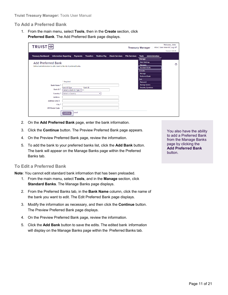#### <span id="page-10-0"></span>**To Add a Preferred Bank**

1. From the main menu, select **Tools**, then in the **Create** section, click **Preferred Bank**. The Add Preferred Bank page displays.

| <b>TRUIST</b> <sub>H</sub>                                                                         |                                                |                     |                                               | <b>Treasury Manager</b>                                                                                         | Welcome, John<br>Inbox   User Material   Log Off<br><b>Timeout: 0:8:29</b> |
|----------------------------------------------------------------------------------------------------|------------------------------------------------|---------------------|-----------------------------------------------|-----------------------------------------------------------------------------------------------------------------|----------------------------------------------------------------------------|
| <b>Treasury Dashboard</b><br><b>Information Reporting</b>                                          | <b>Payments</b><br><b>Transfers</b>            | <b>Positive Pay</b> | <b>Check Services</b><br><b>File Services</b> | <b>Administration</b><br><b>Tools</b><br>Manage                                                                 |                                                                            |
| <b>Add Preferred Bank</b><br>Define bank information to add a bank to the list of preferred banks. |                                                |                     |                                               | <b>Alert Settings</b><br><b>Messages</b><br><b>Standard Banks</b><br>Create<br>Message<br><b>Preferred Bank</b> | $\odot$                                                                    |
| * Required                                                                                         |                                                |                     |                                               | Set<br>Password                                                                                                 |                                                                            |
| <b>Bank Name*</b>                                                                                  |                                                |                     |                                               | <b>Startup Screen</b>                                                                                           |                                                                            |
| <b>Bank ID Type</b><br>Bank ID*                                                                    | <b>Bank ID</b><br>Select a Bank ID Type $\vee$ |                     |                                               | <b>Security Questions</b>                                                                                       |                                                                            |
| Country <sup>*</sup>                                                                               | Select a Country                               | u                   |                                               |                                                                                                                 |                                                                            |
| <b>Address</b>                                                                                     |                                                |                     |                                               |                                                                                                                 |                                                                            |
| <b>Address Line 2</b>                                                                              |                                                |                     |                                               |                                                                                                                 |                                                                            |
| City *                                                                                             |                                                |                     |                                               |                                                                                                                 |                                                                            |
| <b>ZIP/Postal Code</b>                                                                             |                                                |                     |                                               |                                                                                                                 |                                                                            |
| <b>Continue</b>                                                                                    | <b>Cancel</b>                                  |                     |                                               |                                                                                                                 |                                                                            |

- 2. On the **Add Preferred Bank** page, enter the bank information.
- 3. Click the **Continue** button. The Preview Preferred Bank page appears.
- 4. On the Preview Preferred Bank page, review the information.
- 5. To add the bank to your preferred banks list, click the **Add Bank** button. The bank will appear on the Manage Banks page within the Preferred Banks tab.

#### <span id="page-10-1"></span>**To Edit a Preferred Bank**

**Note:** You cannot edit standard bank information that has been preloaded.

- 1. From the main menu, select **Tools**, and in the **Manage** section, click **Standard Banks**. The Manage Banks page displays.
- 2. From the Preferred Banks tab, in the **Bank Name** column, click the name of the bank you want to edit. The Edit Preferred Bank page displays.
- 3. Modify the information as necessary, and then click the **Continue** button. The Preview Preferred Bank page displays.
- 4. On the Preview Preferred Bank page, review the information.
- 5. Click the **Add Bank** button to save the edits. The edited bank information will display on the Manage Banks page within the Preferred Banks tab.

You also have the ability to add a Preferred Bank from the Manage Banks page by clicking the **Add Preferred Bank** button.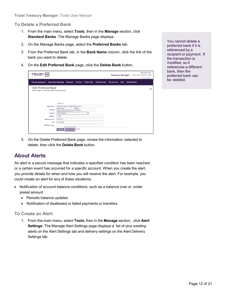#### <span id="page-11-0"></span>**To Delete a Preferred Bank**

- 1. From the main menu, select **Tools**, then in the **Manage** section, click **Standard Banks**. The Manage Banks page displays.
- 2. On the Manage Banks page, select the **Preferred Banks** tab.
- 3. From the Preferred Bank tab, in the **Bank Name** column, click the link of the bank you want to delete.
- 4. On the **Edit Preferred Bank** page, click the **Delete Bank** button.

| TRUIST <sub>H</sub>                                                                     | <b>Treasury Manager</b>                                                                           |                            |                     | Welcome, John<br>Inbox   User Material   Log Off<br>Timeout: 0:29:55 |                      |              |                       |         |
|-----------------------------------------------------------------------------------------|---------------------------------------------------------------------------------------------------|----------------------------|---------------------|----------------------------------------------------------------------|----------------------|--------------|-----------------------|---------|
| <b>Treasury Dashboard</b><br><b>Information Reporting</b>                               | <b>Payments</b>                                                                                   | <b>Transfers</b>           | <b>Positive Pay</b> | <b>Check Services</b>                                                | <b>File Services</b> | <b>Tools</b> | <b>Administration</b> |         |
| <b>Edit Preferred Bank</b><br>Make changes to or delete the preferred bank information. |                                                                                                   |                            |                     |                                                                      |                      |              |                       | $\odot$ |
| Bank Name*<br>Bank ID*                                                                  | * Required<br>"GARAGUM" BANK INTERNATIONAL JOIN<br><b>Bank ID Type</b><br>SWIFT (international) v | <b>Bank ID</b><br>IGARTM2X |                     |                                                                      |                      |              |                       |         |
| Country *<br><b>Address</b><br><b>Address Line 2</b><br><b>7IP/Postal Code</b>          | Turkmenistan<br><b>T-STOK</b><br><b>UNKNOWN</b><br>City * ASHKHABAD                               |                            | $\checkmark$        |                                                                      |                      |              |                       |         |
|                                                                                         | <b>Delete Bank</b><br>Continue                                                                    | Cancel                     |                     |                                                                      |                      |              |                       |         |

You cannot delete a preferred bank if it is referenced by a recipient or payment. If the transaction is modified, so it references a different bank, then the preferred bank can be deleted.

5. On the Delete Preferred Bank page, review the information selected to delete, then click the **Delete Bank** button.

### <span id="page-11-1"></span>**About Alerts**

An alert is a secure message that indicates a specified condition has been reached, or a certain event has occurred for a specific account. When you create the alert, you provide details for when and how you will receive the alert. For example, you could create an alert for any of these situations:

- Notification of account balance conditions, such as a balance over or under preset amount
	- Periodic balance updates
	- Notification of disallowed or failed payments or transfers

#### <span id="page-11-2"></span>**To Create an Alert**

1. From the main menu, select **Tools,** then in the **Manage** section, click **Alert Settings**. The Manage Alert Settings page displays a list of your existing alerts on the Alert Settings tab and delivery settings on the Alert Delivery Settings tab.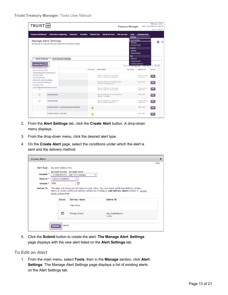|                                                                                                                                        | Welcome, John<br>TRUIST <sub>HH</sub><br>Inbox   User Material   Log Off<br><b>Treasury Manager</b>         |                 |                  |                     |                                                                      |                      |                                                                                             |                                                   |                              |  |
|----------------------------------------------------------------------------------------------------------------------------------------|-------------------------------------------------------------------------------------------------------------|-----------------|------------------|---------------------|----------------------------------------------------------------------|----------------------|---------------------------------------------------------------------------------------------|---------------------------------------------------|------------------------------|--|
| <b>Treasury Dashboard</b>                                                                                                              | <b>Information Reporting</b>                                                                                | <b>Payments</b> | <b>Transfers</b> | <b>Positive Pay</b> | <b>Check Services</b>                                                | <b>File Services</b> | <b>Tools</b><br>Manage                                                                      | <b>Administration</b>                             | Timeout: 0:28:45             |  |
|                                                                                                                                        | <b>Manage Alert Settings</b><br>Use this page to create new alerts and manage alerts and delivery settings. |                 |                  |                     |                                                                      |                      | <b>Alert Settings</b><br><b>Messages</b><br><b>Standard Banks</b><br>Create<br>Message      |                                                   | 6<br>$^{\circ}$              |  |
| <b>Alert Settings</b><br>Create Alert $\curvearrowright$                                                                               | <b>Alert Delivery Settings</b>                                                                              |                 |                  |                     |                                                                      |                      | <b>Preferred Bank</b><br>Set<br>Password<br><b>Startup Screen</b><br>Items per page [10] V] | <b>Security Questions</b><br><b>Post Property</b> | $\sqrt{2}$<br>$\overline{2}$ |  |
| <b>Account Balance Over</b><br><b>Account Balance Under</b>                                                                            |                                                                                                             |                 | $\sim$ Security  | <b>Alert Detail</b> |                                                                      |                      | <b>Account</b>                                                                              | Deliver To                                        | <b>Action</b>                |  |
| <b>Check Positive Pay Decision Status</b><br><b>Payment Status</b><br><b>Personal Reminder</b><br><b>Positive Pay Check Exceptions</b> |                                                                                                             |                 |                  |                     | Payment Method: All Payments<br><b>Status: Awaiting Transmission</b> |                      |                                                                                             | <b>Primary Email</b><br>Web Inbox                 | Edit                         |  |
| <b>Secure Message Notification</b><br><b>Template Status</b>                                                                           |                                                                                                             |                 |                  |                     | Payment Method: All ACH Payments<br><b>Status: Pending Approval</b>  |                      |                                                                                             | Web Inbox                                         | Edit                         |  |
| <b>User Entitlements Requires Approval</b>                                                                                             |                                                                                                             |                 |                  |                     | Payment Method: All Payments<br><b>Status: Awaiting Transmission</b> |                      |                                                                                             | <b>Primary Email</b><br>Web Inbox                 | Edit                         |  |
| п                                                                                                                                      | <b>Payment Status</b>                                                                                       |                 |                  |                     | Payment Method: All ACH Payments<br><b>Status: Completed</b>         |                      |                                                                                             | Web Inbox                                         | Edit                         |  |
| п                                                                                                                                      | <b>Payment Status</b>                                                                                       |                 |                  |                     | Payment Method: All Payments<br><b>Status: Pending Approval</b>      |                      |                                                                                             | <b>Primary Email</b><br>Web Inbox                 | Edit                         |  |
|                                                                                                                                        | <b>SECURITY ALERT - Contact Information Updated</b>                                                         |                 | A                |                     |                                                                      |                      |                                                                                             | Web Inbox                                         | Edit                         |  |
|                                                                                                                                        | <b>SECURITY ALERT - New User</b>                                                                            |                 |                  |                     |                                                                      |                      |                                                                                             | Web Inbox                                         | Edit                         |  |

- 2. From the **Alert Settings** tab, click the **Create Alert** button. A drop-down menu displays.
- 3. From the drop-down menu, click the desired alert type.
- 4. On the **Create Alert** page, select the conditions under which the alert is sent and the delivery method.

| <b>Create Alert</b> |                                                                                                                                                                                                                                                                                             |                      |                         | $\pmb{\times}$ |  |  |  |  |  |
|---------------------|---------------------------------------------------------------------------------------------------------------------------------------------------------------------------------------------------------------------------------------------------------------------------------------------|----------------------|-------------------------|----------------|--|--|--|--|--|
|                     |                                                                                                                                                                                                                                                                                             |                      |                         | Help           |  |  |  |  |  |
| Alert Type          | <b>Account Balance Over</b>                                                                                                                                                                                                                                                                 |                      |                         |                |  |  |  |  |  |
| Account *           | Account Number - Account Name<br>1234567891234 - ABC123 Company                                                                                                                                                                                                                             |                      |                         |                |  |  |  |  |  |
| Balance *           | Current Available                                                                                                                                                                                                                                                                           | $\checkmark$         |                         |                |  |  |  |  |  |
| Amount *            | 5000                                                                                                                                                                                                                                                                                        | ⑦                    |                         |                |  |  |  |  |  |
|                     | This alert will always be delivered to your Inbox. You may select additional delivery options<br>below or create additional delivery options by clicking on Add Delivery Option button in Set Alert<br>Delivery Options page.<br><b>Select</b><br><b>Delivery Name</b><br><b>Deliver To</b> |                      |                         |                |  |  |  |  |  |
|                     |                                                                                                                                                                                                                                                                                             | Web Inbox            |                         |                |  |  |  |  |  |
|                     | ⊓                                                                                                                                                                                                                                                                                           | <b>Primary Email</b> | Amy.Smith@emai<br>l.com |                |  |  |  |  |  |
|                     | Cancel<br><b>Submit</b>                                                                                                                                                                                                                                                                     |                      |                         |                |  |  |  |  |  |

5. Click the **Submit** button to create the alert. **The Manage Alert Settings** page displays with the new alert listed on the **Alert Settings** tab.

#### <span id="page-12-0"></span>**To Edit an Alert**

1. From the main menu, select **Tools**, then in the **Manage** section, click **Alert Settings**. The Manage Alert Settings page displays a list of existing alerts on the Alert Settings tab.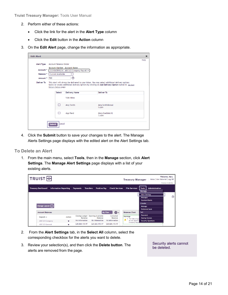- 2. Perform either of these actions:
	- Click the link for the alert in the **Alert Type** column
	- Click the **Edit** button in the **Action** column
- 3. On the **Edit Alert** page, change the information as appropriate.

| <b>Edit Alert</b> |               |                                                                                                                                                                                                                               |                      |                          | $\pmb{\times}$ |  |  |  |  |  |  |
|-------------------|---------------|-------------------------------------------------------------------------------------------------------------------------------------------------------------------------------------------------------------------------------|----------------------|--------------------------|----------------|--|--|--|--|--|--|
|                   |               |                                                                                                                                                                                                                               |                      |                          | Help           |  |  |  |  |  |  |
| <b>Alert Type</b> |               | <b>Account Balance Under</b>                                                                                                                                                                                                  |                      |                          |                |  |  |  |  |  |  |
| Account *         |               | Account Number - Account Name<br>3334567891234 - ABC123 Company Payroll V                                                                                                                                                     |                      |                          |                |  |  |  |  |  |  |
| Balance *         |               | Current Available<br>$\checkmark$                                                                                                                                                                                             |                      |                          |                |  |  |  |  |  |  |
| Amount *          | 500           |                                                                                                                                                                                                                               | ඹ                    |                          |                |  |  |  |  |  |  |
| <b>Deliver To</b> |               | This alert will always be delivered to your Inbox. You may select additional delivery options<br>below or create additional delivery options by clicking on Add Delivery Option button in Set Alert<br>Delivery Options page. |                      |                          |                |  |  |  |  |  |  |
|                   |               | <b>Select</b>                                                                                                                                                                                                                 | <b>Delivery Name</b> | <b>Deliver To</b>        |                |  |  |  |  |  |  |
|                   |               |                                                                                                                                                                                                                               | Web Inbox            |                          |                |  |  |  |  |  |  |
|                   |               | П                                                                                                                                                                                                                             | Amy Smith            | Amy. Smith@emai<br>l.com |                |  |  |  |  |  |  |
|                   |               | □                                                                                                                                                                                                                             | <b>App Pend</b>      | Mary.Doe@abc12<br>3.com  |                |  |  |  |  |  |  |
|                   | <b>Submit</b> | <b>Cancel</b>                                                                                                                                                                                                                 |                      |                          |                |  |  |  |  |  |  |

4. Click the **Submit** button to save your changes to the alert. The Manage Alerts Settings page displays with the edited alert on the Alert Settings tab.

#### <span id="page-13-0"></span>**To Delete an Alert**

1. From the main menu, select **Tools**, then in the **Manage** section, click **Alert Settings**. The **Manage Alert Settings** page displays with a list of your existing alerts.

| <b>TRUIST HH</b>                  |                              |                 |                                                    |                                  | <b>Treasury Manager</b>                            | Inbox   User Material   Log Off                                                                                 | Welcome, Mary<br>Timeout: 0:29:41 |
|-----------------------------------|------------------------------|-----------------|----------------------------------------------------|----------------------------------|----------------------------------------------------|-----------------------------------------------------------------------------------------------------------------|-----------------------------------|
| <b>Treasury Dashboard</b>         | <b>Information Reporting</b> | <b>Payments</b> | <b>Transfers</b><br><b>Positive Pay</b>            | <b>Check Services</b>            | <b>File Services</b>                               | <b>Administration</b><br><b>Tools</b><br><b>Manage</b>                                                          |                                   |
| Change Layout $(\check{\,\cdot})$ |                              |                 |                                                    |                                  |                                                    | <b>Alert Settings</b><br><b>Messages</b><br><b>Standard Banks</b><br>Create<br>Message<br><b>Preferred Bank</b> | ⑦                                 |
| <b>Account Balances</b>           |                              |                 |                                                    | <u> શુરુ</u> -<br><b>My View</b> | <b>Balances Chart</b>                              | Set                                                                                                             |                                   |
| Deposit $\triangle$               | <b>Action</b>                | Balance         | Closing Ledger Opening Available<br><b>Balance</b> | Collected<br>Balance             | Warnings                                           | <b>Password</b><br><b>Startup Screen</b>                                                                        |                                   |
| <b>ABC123 Company</b>             | $\overline{\phantom{a}}$     | No Information  | No Information                                     | No Information                   | The following a<br>do not appear<br>Company Payron | <b>Security Questions</b>                                                                                       |                                   |
| <b>ABC123 General</b>             | $\overline{\phantom{a}}$     | S20.820.155.97  | \$20,820,155.97                                    | S20.820.155.97                   |                                                    |                                                                                                                 |                                   |

- 2. From the **Alert Settings** tab, in the **Select All** column, select the corresponding checkbox for the alerts you want to delete.
- 3. Review your selection(s), and then click the **Delete button**. The alerts are removed from the page.

Security alerts cannot be deleted.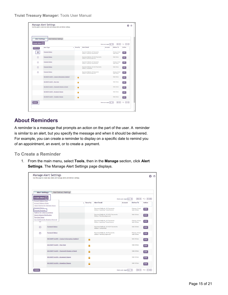**Truist Treasury Manager:** Tools User Manual

| <b>Alert Settings</b>                             | Alert Delivery Settings                             |                       |                                                                      |                                 |                            |                                                  |
|---------------------------------------------------|-----------------------------------------------------|-----------------------|----------------------------------------------------------------------|---------------------------------|----------------------------|--------------------------------------------------|
| Create Alert $\left(\overline{\mathbf{v}}\right)$ |                                                     |                       |                                                                      | Items per page $\boxed{10 - 8}$ |                            | $\sqrt{ \mathbf{x}  + 12  \mathbf{y}  \sqrt{2}}$ |
| Select All                                        | <b>Alert Type</b>                                   | Security<br>$\hat{ }$ | <b>Alert Detail</b>                                                  | Account                         | <b>Deliver To</b>          | Action                                           |
| ☑                                                 | <b>Payment Status</b>                               |                       | Payment Method: All Payments<br><b>Status: Awaiting Transmission</b> |                                 | Primary Email<br>Web Inbox | Edit                                             |
| п                                                 | <b>Payment Status</b>                               |                       | Payment Method: All ACH Payments<br><b>Status: Pending Approval</b>  |                                 | Web Inbox                  | Edit                                             |
| п                                                 | <b>Payment Status</b>                               |                       | Payment Method: All Payments<br><b>Status: Awaiting Transmission</b> |                                 | Primary Email<br>Web Inbox | Edit                                             |
| □                                                 | <b>Payment Status</b>                               |                       | Payment Method: All ACH Payments<br><b>Status: Completed</b>         |                                 | Web Inbox                  | Edit                                             |
| □                                                 | <b>Payment Status</b>                               |                       | Payment Method: All Payments<br><b>Status: Pending Approval</b>      |                                 | Primary Email<br>Web Inbox | Edit                                             |
|                                                   | <b>SECURITY ALERT - Contact Information Updated</b> | A                     |                                                                      |                                 | Web Inbox                  | Edit                                             |
|                                                   | <b>SECURITY ALERT - New User</b>                    | Ω                     |                                                                      |                                 | Web Inbox                  | Edit                                             |
|                                                   | <b>SECURITY ALERT - Password Change or Reset</b>    | a                     |                                                                      |                                 | Web Inbox                  | Edit                                             |
|                                                   | <b>SECURITY ALERT - Recipient Change</b>            | а                     |                                                                      |                                 | Web Inbox                  | Edit                                             |
|                                                   | <b>SECURITY ALERT - Template Change</b>             | a                     |                                                                      |                                 | Web Inbox                  | Edit                                             |

### <span id="page-14-0"></span>**About Reminders**

A reminder is a message that prompts an action on the part of the user. A reminder is similar to an alert, but you specify the message and when it should be delivered. For example, you can create a reminder to display on a specific date to remind you of an appointment, an event, or to create a payment.

<span id="page-14-1"></span>**To Create a Reminder**

1. From the main menu, select **Tools**, then in the **Manage** section, click **Alert Settings**. The Manage Alert Settings page displays.

| <b>Alert Settings</b>                                                         |                                                                                   | Alert Delivery Settings                             |                 |                                                                      |                             |                                   |                                                                                         |
|-------------------------------------------------------------------------------|-----------------------------------------------------------------------------------|-----------------------------------------------------|-----------------|----------------------------------------------------------------------|-----------------------------|-----------------------------------|-----------------------------------------------------------------------------------------|
| Create Alert $\left(\sqrt{\phantom{a}}\right)$<br><b>Account Balance Over</b> |                                                                                   |                                                     |                 |                                                                      | Items per page [10 $\vee$ ] |                                   | $\sqrt{\left  \left  \left  \left  \right  \right  \right }$ 12 $\sqrt{\left  \right }$ |
| <b>Account Balance Under</b>                                                  |                                                                                   |                                                     | $\sim$ Security | <b>Alert Detail</b>                                                  | Account                     | <b>Deliver To</b>                 | <b>Action</b>                                                                           |
| <b>Payment Status</b><br>Personal Reminder                                    | <b>Check Positive Pay Decision Status</b><br><b>Positive Pay Check Exceptions</b> |                                                     |                 | Payment Method: All Payments<br><b>Status: Awaiting Transmission</b> |                             | <b>Primary Email</b><br>Web Inbox | Edit                                                                                    |
| <b>Secure Message Notification</b><br><b>Template Status</b>                  |                                                                                   |                                                     |                 | Payment Method: All ACH Payments<br><b>Status: Pending Approval</b>  |                             | Web Inbox                         | Edit                                                                                    |
| -                                                                             | <b>User Entitlements Requires Approval</b>                                        |                                                     |                 | Payment Method: All Payments<br><b>Status: Awaiting Transmission</b> |                             | Primary Email<br>Web Inbox        | Edit                                                                                    |
| □                                                                             | <b>Payment Status</b>                                                             |                                                     |                 | Payment Method: All ACH Payments<br><b>Status: Completed</b>         |                             | Web Inbox                         | Edit                                                                                    |
| П                                                                             | <b>Payment Status</b>                                                             |                                                     |                 | Payment Method: All Payments<br><b>Status: Pending Approval</b>      |                             | <b>Primary Email</b><br>Web Inbox | Edit                                                                                    |
|                                                                               |                                                                                   | <b>SECURITY ALERT - Contact Information Updated</b> | a               |                                                                      |                             | Web Inbox                         | Edit                                                                                    |
|                                                                               | <b>SECURITY ALERT - New User</b>                                                  |                                                     | A               |                                                                      |                             | Web Inbox                         | Edit                                                                                    |
|                                                                               |                                                                                   | <b>SECURITY ALERT - Password Change or Reset</b>    | Α               |                                                                      |                             | Web Inbox                         | Edit                                                                                    |
|                                                                               | <b>SECURITY ALERT - Recipient Change</b>                                          |                                                     | A               |                                                                      |                             | Web Inbox                         | Edit                                                                                    |
|                                                                               | <b>SECURITY ALERT - Template Change</b>                                           |                                                     | ଈ               |                                                                      |                             | Web Inbox                         | Edit                                                                                    |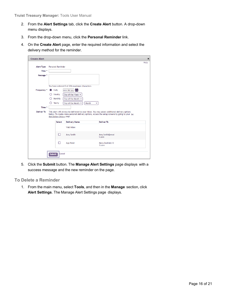- 2. From the **Alert Settings** tab, click the **Create Alert** button. A drop-down menu displays.
- 3. From the drop-down menu, click the **Personal Reminder** link.
- 4. On the **Create Alert** page, enter the required information and select the delivery method for the reminder.

| <b>Create Alert</b>                        |                                      |                                                                                                                                                                                                                                                                                                                                                                                                            |                          | $\mathbf x$ |  |  |  |  |  |
|--------------------------------------------|--------------------------------------|------------------------------------------------------------------------------------------------------------------------------------------------------------------------------------------------------------------------------------------------------------------------------------------------------------------------------------------------------------------------------------------------------------|--------------------------|-------------|--|--|--|--|--|
| <b>Alert Type</b><br>Title *               | <b>Personal Reminder</b>             |                                                                                                                                                                                                                                                                                                                                                                                                            |                          | Help        |  |  |  |  |  |
| Message *                                  |                                      |                                                                                                                                                                                                                                                                                                                                                                                                            |                          |             |  |  |  |  |  |
| Frequency *<br>Time *<br><b>Deliver To</b> | Daily<br>Weekly<br>Monthly<br>Yearly | You have entered 0 of 256 maximum characters<br>$\left \text{mm/dd/yy}\right $<br>Day of the Week $\sim$<br>Day of the Month ↓<br>Day of the Month $\sim$<br>Month<br>v<br>This alert will always be delivered to your Inbox. You may select additional delivery options<br>below. To create more personal delivery options, access the setup screens by going to your Set<br>Alert Delivery Options page. |                          |             |  |  |  |  |  |
|                                            | Select                               | <b>Delivery Name</b>                                                                                                                                                                                                                                                                                                                                                                                       | <b>Deliver To</b>        |             |  |  |  |  |  |
|                                            |                                      | Web Inbox                                                                                                                                                                                                                                                                                                                                                                                                  |                          |             |  |  |  |  |  |
|                                            | п                                    | Amy Smith                                                                                                                                                                                                                                                                                                                                                                                                  | Amy. Smith@emai<br>l.com |             |  |  |  |  |  |
|                                            | П                                    | <b>App Pend</b>                                                                                                                                                                                                                                                                                                                                                                                            | Mary.Doe@abc12<br>3.com  |             |  |  |  |  |  |
|                                            | <b>Cancel</b><br><b>Submit</b>       |                                                                                                                                                                                                                                                                                                                                                                                                            |                          |             |  |  |  |  |  |

5. Click the **Submit** button. The **Manage Alert Settings** page displays with a success message and the new reminder on the page.

#### <span id="page-15-0"></span>**To Delete a Reminder**

1. From the main menu, select **Tools**, and then in the **Manage** section, click **Alert Settings**. The Manage Alert Settings page displays.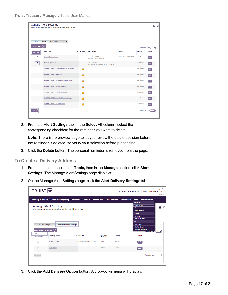|                                              | <b>Manage Alert Settings</b><br>Use this page to create new alerts and manage alerts and delivery settings. |            |                                                         |                         |                   |                                 | 6 ⊙ |
|----------------------------------------------|-------------------------------------------------------------------------------------------------------------|------------|---------------------------------------------------------|-------------------------|-------------------|---------------------------------|-----|
|                                              |                                                                                                             |            |                                                         |                         |                   |                                 |     |
| <b>Alert Settings</b>                        | <b>Alert Delivery Settings</b>                                                                              |            |                                                         |                         |                   |                                 |     |
| Create Alert $\left(\overline{\cdot}\right)$ |                                                                                                             |            |                                                         |                         |                   | Items per page $10 - 8$         |     |
| Select All                                   | <b>Alert Type</b>                                                                                           | ~ Security | <b>Alert Detail</b>                                     | Account                 | <b>Deliver To</b> | <b>Action</b>                   |     |
| □                                            | <b>Account Balance Under</b>                                                                                |            | Amount: \$500.00<br>Balance: Current Available          | ABC123 General ****8773 | Web Inbox         | Edit                            |     |
| ☑                                            | <b>Personal Reminder</b>                                                                                    |            | Title: Mortage<br>Message: Remember to pay the Mortgage |                         | Web Inbox         | Edit                            |     |
|                                              | <b>SECURITY ALERT - Contact Information Updated</b>                                                         | A          |                                                         |                         | Web Inbox         | Edit                            |     |
|                                              | <b>SECURITY ALERT - New User</b>                                                                            | Α          |                                                         |                         | Web Inbox         | Edit                            |     |
|                                              | <b>SECURITY ALERT - Password Change or Reset</b>                                                            | a          |                                                         |                         | Web Inbox         | Edit                            |     |
|                                              | <b>SECURITY ALERT - Recipient Change</b>                                                                    | Ω          |                                                         |                         | Web Inbox         | Edit                            |     |
|                                              | <b>SECURITY ALERT - Template Change</b>                                                                     | Ω          |                                                         |                         | Web Inbox         | Edit                            |     |
|                                              | <b>SECURITY ALERT - User Entitlement Change</b>                                                             | ₷          |                                                         |                         | Web Inbox         | Edit                            |     |
|                                              | <b>SECURITY ALERT - User ID Unlock</b>                                                                      | a          |                                                         |                         | Web Inbox         | Edit                            |     |
| <b>Delete</b>                                |                                                                                                             |            |                                                         |                         |                   | Items per page $\boxed{10 - 8}$ |     |
|                                              |                                                                                                             |            |                                                         |                         |                   |                                 |     |

2. From the **Alert Settings** tab, in the **Select All** column, select the corresponding checkbox for the reminder you want to delete.

**Note:** There is no preview page to let you review the delete decision before the reminder is deleted, so verify your selection before proceeding.

3. Click the **Delete** button. The personal reminder is removed from the page.

#### <span id="page-16-0"></span>**To Create a Delivery Address**

- 1. From the main menu, select **Tools,** then in the **Manage** section, click **Alert Settings**. The Manage Alert Settings page displays.
- 2. On the Manage Alert Settings page, click the **Alert Delivery Settings** tab.

| TRUIST <sub>H</sub>                                                                   |                                                                                                             |                                                         |                             | <b>Treasury Manager</b> | Inbox   User Material   Log Off                                                                                        | Welcome, John<br>Timeout: 0:25:59 |
|---------------------------------------------------------------------------------------|-------------------------------------------------------------------------------------------------------------|---------------------------------------------------------|-----------------------------|-------------------------|------------------------------------------------------------------------------------------------------------------------|-----------------------------------|
| <b>Treasury Dashboard</b>                                                             | <b>Information Reporting</b><br><b>Payments</b>                                                             | <b>Transfers</b><br><b>Positive Pay</b>                 | <b>Check Services</b>       | <b>File Services</b>    | <b>Tools</b><br>Administration<br>Manage                                                                               |                                   |
|                                                                                       | <b>Manage Alert Settings</b><br>Use this page to create new alerts and manage alerts and delivery settings. |                                                         |                             |                         | <b>Alert Settings</b><br><b>Messages</b><br><b>Standard Banks</b><br><b>Create</b><br>Message<br><b>Preferred Bank</b> | 6<br>$^{\circ}$                   |
| <b>Alert Settings</b><br>Add Delivery Option $\left(\overline{\cdot}\right)$<br>Email | <b>Alert Delivery Settings</b>                                                                              |                                                         |                             |                         | Set<br>Password<br><b>Startup Screen</b><br><b>Security Questions</b><br>Items per page $10 \times$                    |                                   |
| lext Message                                                                          | <b>Delivery Name</b><br><b>Primary Email</b>                                                                | <b>Deliver To</b><br>$\sim$<br>thomas.butler@truist.com | Delivery<br>Method<br>Email | <b>Status</b><br>Active | <b>Action</b>                                                                                                          |                                   |
|                                                                                       | <b>Web Inbox</b>                                                                                            |                                                         | <b>Inbox</b>                | Active                  | Edit<br>Edit                                                                                                           |                                   |
| <b>Delete</b>                                                                         |                                                                                                             |                                                         |                             |                         | Items per page $10 \times$                                                                                             |                                   |

3. Click the **Add Delivery Option** button. A drop-down menu will display.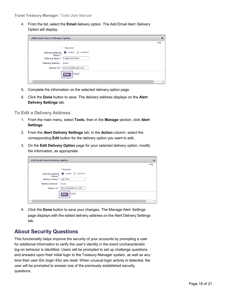4. From the list, select the **Email** delivery option. The Add Email Alert Delivery Option will display.

| Add Email Alert Delivery Option |                                      | $\boldsymbol{\mathsf{x}}$ |
|---------------------------------|--------------------------------------|---------------------------|
|                                 |                                      | Help                      |
|                                 | * Required                           |                           |
| Status *                        | Delivery Address @ Active O Inactive |                           |
| Delivery Name * Suspected Items |                                      |                           |
| <b>Delivery Method</b>          | Email                                |                           |
| Deliver To*                     | marydoe@email.com                    |                           |
|                                 | <b>Cancel</b><br><b>Done</b>         |                           |
|                                 |                                      |                           |

- 5. Complete the information on the selected delivery option page.
- 6. Click the **Done** button to save. The delivery address displays on the **Alert Delivery Settings** tab.

#### <span id="page-17-0"></span>**To Edit a Delivery Address**

- 1. From the main menu, select **Tools**, then in the **Manage** section, click **Alert Settings**.
- 2. From the **Alert Delivery Settings** tab, in the **Action** column, select the corresponding **Edit** button for the delivery option you want to edit.
- 3. On the **Edit Delivery Option** page for your selected delivery option, modify the information, as appropriate.

| <b>Edit Email Alert Delivery Option</b> |                                    | $\boldsymbol{\varkappa}$ |
|-----------------------------------------|------------------------------------|--------------------------|
|                                         |                                    | Help                     |
|                                         | * Required                         |                          |
| <b>Delivery Address</b><br>Status *     | $\odot$ Active $\bigcirc$ Inactive |                          |
| Delivery Name *                         | App Pend                           |                          |
| <b>Delivery Method</b>                  | Email                              |                          |
| Deliver To *                            | Mary.Doe@abc123.com                |                          |
|                                         | <b>Cancel</b><br>Done              |                          |
| 4                                       |                                    | Þ                        |

4. Click the **Done** button to save your changes. The Manage Alert Settings page displays with the edited delivery address on the Alert Delivery Settings tab.

### <span id="page-17-1"></span>**About Security Questions**

This functionality helps improve the security of your accounts by prompting a user for additional information to verify the user's identity in the event uncharacteristic log-on behavior is identified. Users will be prompted to set up challenge questions and answers upon their initial login to the Treasury Manager system, as well as any time their user IDs (login IDs) are reset. When unusual login activity is detected, the user will be prompted to answer one of the previously established security questions.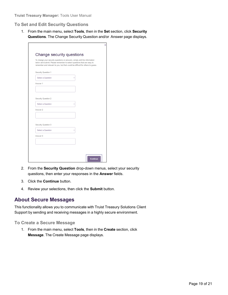#### <span id="page-18-0"></span>**To Set and Edit Security Questions**

1. From the main menu, select **Tools**, then in the **Set** section, click **Security Questions**. The Change Security Question and/or Answer page displays.

|                            | To change your security questions or answers, simply edit the information<br>below and submit. Please remember to select questions that are easy to<br>remember and relevant to you, but that would be difficult for others to guess. |
|----------------------------|---------------------------------------------------------------------------------------------------------------------------------------------------------------------------------------------------------------------------------------|
| <b>Security Question 1</b> |                                                                                                                                                                                                                                       |
| Select a Question          |                                                                                                                                                                                                                                       |
| Answer 1                   |                                                                                                                                                                                                                                       |
|                            |                                                                                                                                                                                                                                       |
|                            |                                                                                                                                                                                                                                       |
| <b>Security Question 2</b> |                                                                                                                                                                                                                                       |
| Select a Question          |                                                                                                                                                                                                                                       |
| Answer 2                   |                                                                                                                                                                                                                                       |
|                            |                                                                                                                                                                                                                                       |
|                            |                                                                                                                                                                                                                                       |
| <b>Security Question 3</b> |                                                                                                                                                                                                                                       |
| Select a Question          |                                                                                                                                                                                                                                       |
| Answer 3                   |                                                                                                                                                                                                                                       |
|                            |                                                                                                                                                                                                                                       |
|                            |                                                                                                                                                                                                                                       |

- 2. From the **Security Question** drop-down menus, select your security questions, then enter your responses in the **Answer** fields.
- 3. Click the **Continue** button.
- 4. Review your selections, then click the **Submit** button.

### <span id="page-18-1"></span>**About Secure Messages**

This functionality allows you to communicate with Truist Treasury Solutions Client Support by sending and receiving messages in a highly secure environment.

#### <span id="page-18-2"></span>**To Create a Secure Message**

1. From the main menu, select **Tools**, then in the **Create** section, click **Message**. The Create Message page displays.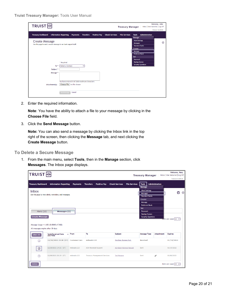| TRUIST <sub>H</sub>                                                                        |                                                                               |                                         |                       | <b>Treasury Manager</b> |                                                                                                                        | Inbox   User Material   Log Off | Welcome, John<br>Timeout: 0:29:56 |
|--------------------------------------------------------------------------------------------|-------------------------------------------------------------------------------|-----------------------------------------|-----------------------|-------------------------|------------------------------------------------------------------------------------------------------------------------|---------------------------------|-----------------------------------|
| <b>Treasury Dashboard</b>                                                                  | <b>Information Reporting</b><br><b>Payments</b>                               | <b>Positive Pay</b><br><b>Transfers</b> | <b>Check Services</b> | <b>File Services</b>    | <b>Tools</b><br>Manage                                                                                                 | <b>Administration</b>           |                                   |
| <b>Create Message</b><br>Use this page to send a secure message to our bank support staff. |                                                                               |                                         |                       |                         | <b>Alert Settings</b><br><b>Messages</b><br><b>Standard Banks</b><br>Create<br>Message<br><b>Preferred Bank</b><br>Set |                                 | $^{\circ}$                        |
| To *<br>Subject *                                                                          | * Required<br>Select a Contact                                                |                                         |                       |                         | Password<br><b>Startup Screen</b><br><b>Security Questions</b>                                                         |                                 |                                   |
| Message *                                                                                  |                                                                               |                                         |                       |                         |                                                                                                                        |                                 |                                   |
| Attachment(s)                                                                              | You have entered 0 of 2000 maximum characters<br>Choose File   No file chosen |                                         |                       |                         |                                                                                                                        |                                 |                                   |
|                                                                                            | Cancel<br><b>Send Message</b>                                                 |                                         |                       |                         |                                                                                                                        |                                 |                                   |

2. Enter the required information.

**Note:** You have the ability to attach a file to your message by clicking in the **Choose File** field.

3. Click the **Send Message** button.

**Note:** You can also send a message by clicking the Inbox link in the top right of the screen, then clicking the **Message** tab, and next clicking the **Create Message** button.

<span id="page-19-0"></span>**To Delete a Secure Message**

1. From the main menu, select **Tools**, then in the **Manage** section, click **Messages**. The Inbox page displays.

|                                                                           | Welcome, Mary<br>TRUIST HH<br>Inbox   User Material   Log Off<br><b>Treasury Manager</b><br>Timeout: 0:29:33 |                 |                                         |                                               |                                                                                                          |                   |                            |  |  |  |
|---------------------------------------------------------------------------|--------------------------------------------------------------------------------------------------------------|-----------------|-----------------------------------------|-----------------------------------------------|----------------------------------------------------------------------------------------------------------|-------------------|----------------------------|--|--|--|
| <b>Treasury Dashboard</b>                                                 | <b>Information Reporting</b>                                                                                 | <b>Payments</b> | <b>Transfers</b><br><b>Positive Pay</b> | <b>Check Services</b><br><b>File Services</b> | <b>Tools</b><br>Manage                                                                                   | Administration    |                            |  |  |  |
| <b>Inbox</b>                                                              | Use this page to view alerts, reminders, and messages.                                                       |                 |                                         |                                               | <b>Alert Settings</b><br>Messages<br><b>Standard Banks</b><br>Create<br>Message<br><b>Preferred Bank</b> |                   | 8<br>$\odot$               |  |  |  |
| Alerts (22)<br><b>Create Message</b><br>All messages expire after 30 days | Messages (1)<br>Message Usage = 1.68% (0.08MB of 5MB)                                                        |                 |                                         |                                               | Set<br>Password<br><b>Startup Screen</b><br><b>Security Questions</b>                                    |                   | Trems per page $10 \times$ |  |  |  |
| <b>Select All</b>                                                         | Sent/Received Date<br>and Time                                                                               | $\sim$ From     | To                                      | Subject                                       | <b>Message Type</b>                                                                                      | <b>Attachment</b> | <b>Expires</b>             |  |  |  |
| п                                                                         | 12/20/2021 15:20 (ET) Customer Care                                                                          |                 | mdoeabc123                              | Pending changes lost.                         | <b>Received</b>                                                                                          |                   | 01/19/2022                 |  |  |  |
| $\overline{\mathbb{R}}$                                                   | 12/20/2021 14:31 (ET)                                                                                        | mdoeabc123      | <b>ACH Reversal Support</b>             | <b>ACH Batch Reversal Request</b>             | Sent                                                                                                     |                   | 01/19/2022                 |  |  |  |
| п                                                                         | 12/09/2021 20:39 (ET)                                                                                        | mdoeabc123      | <b>Treasury Management Services</b>     | <b>Test Message</b>                           | Sent                                                                                                     | 0                 | 01/08/2022                 |  |  |  |
| Delete                                                                    |                                                                                                              |                 |                                         |                                               |                                                                                                          |                   | Items per page $10 \times$ |  |  |  |